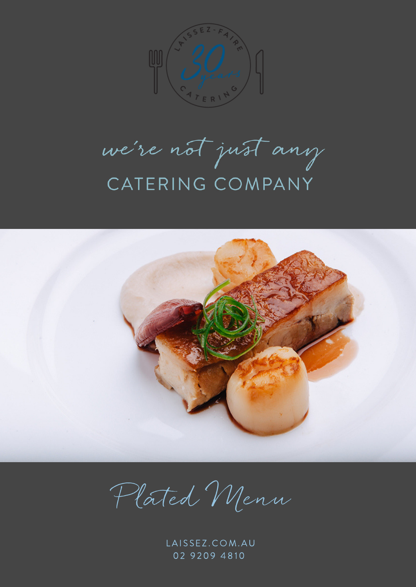

we're not just any CATERING COMPANY



Plated Menn

LAISSEZ.COM.AU 02 9209 4810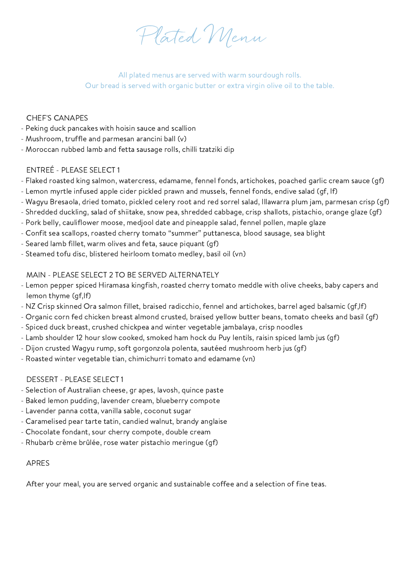Plated Menu

All plated menus are served with warm sourdough rolls. Our bread is served with organic butter or extra virgin olive oil to the table.

# CHEF'S CANAPES

- Peking duck pancakes with hoisin sauce and scallion
- Mushroom, truffle and parmesan arancini ball (v)
- Moroccan rubbed lamb and fetta sausage rolls, chilli tzatziki dip

# ENTREÉ - PLEASE SELECT 1

- Flaked roasted king salmon, watercress, edamame, fennel fonds, artichokes, poached garlic cream sauce (gf)
- Lemon myrtle infused apple cider pickled prawn and mussels, fennel fonds, endive salad (gf, lf)
- Wagyu Bresaola, dried tomato, pickled celery root and red sorrel salad, Illawarra plum jam, parmesan crisp (gf)
- Shredded duckling, salad of shiitake, snow pea, shredded cabbage, crisp shallots, pistachio, orange glaze (gf)
- Pork belly, cauliflower moose, medjool date and pineapple salad, fennel pollen, maple glaze
- Confit sea scallops, roasted cherry tomato "summer" puttanesca, blood sausage, sea blight
- Seared lamb fillet, warm olives and feta, sauce piquant (gf)
- Steamed tofu disc, blistered heirloom tomato medley, basil oil (vn)

# MAIN - PLEASE SELECT 2 TO BE SERVED ALTERNATELY

- Lemon pepper spiced Hiramasa kingfish, roasted cherry tomato meddle with olive cheeks, baby capers and lemon thyme (gf,lf)
- NZ Crisp skinned Ora salmon fillet, braised radicchio, fennel and artichokes, barrel aged balsamic (gf,lf)
- Organic corn fed chicken breast almond crusted, braised yellow butter beans, tomato cheeks and basil (gf)
- Spiced duck breast, crushed chickpea and winter vegetable jambalaya, crisp noodles
- Lamb shoulder 12 hour slow cooked, smoked ham hock du Puy lentils, raisin spiced lamb jus (gf)
- Dijon crusted Wagyu rump, soft gorgonzola polenta, sautéed mushroom herb jus (gf)
- Roasted winter vegetable tian, chimichurri tomato and edamame (vn)

# DESSERT - PLEASE SELECT 1

- Selection of Australian cheese, gr apes, lavosh, quince paste
- Baked lemon pudding, lavender cream, blueberry compote
- Lavender panna cotta, vanilla sable, coconut sugar
- Caramelised pear tarte tatin, candied walnut, brandy anglaise
- Chocolate fondant, sour cherry compote, double cream
- Rhubarb crème brûlée, rose water pistachio meringue (gf)

### APRES

After your meal, you are served organic and sustainable coffee and a selection of fine teas.